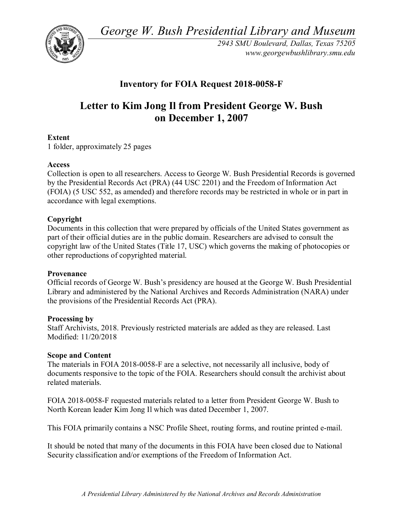*George W. Bush Presidential Library and Museum* 



*2943 SMU Boulevard, Dallas, Texas 75205 <www.georgewbushlibrary.smu.edu>*

# **Inventory for FOIA Request 2018-0058-F**

# **Letter to Kim Jong Il from President George W. Bush on December 1, 2007**

# **Extent**

1 folder, approximately 25 pages

### **Access**

 Collection is open to all researchers. Access to George W. Bush Presidential Records is governed by the Presidential Records Act (PRA) (44 USC 2201) and the Freedom of Information Act (FOIA) (5 USC 552, as amended) and therefore records may be restricted in whole or in part in accordance with legal exemptions.

# **Copyright**

Documents in this collection that were prepared by officials of the United States government as part of their official duties are in the public domain. Researchers are advised to consult the copyright law of the United States (Title 17, USC) which governs the making of photocopies or other reproductions of copyrighted material.

### **Provenance**

Official records of George W. Bush's presidency are housed at the George W. Bush Presidential Library and administered by the National Archives and Records Administration (NARA) under the provisions of the Presidential Records Act (PRA).

### **Processing by**

Staff Archivists, 2018. Previously restricted materials are added as they are released. Last Modified: 11/20/2018

### **Scope and Content**

The materials in FOIA 2018-0058-F are a selective, not necessarily all inclusive, body of documents responsive to the topic of the FOIA. Researchers should consult the archivist about related materials.

FOIA 2018-0058-F requested materials related to a letter from President George W. Bush to North Korean leader Kim Jong Il which was dated December 1, 2007.

This FOIA primarily contains a NSC Profile Sheet, routing forms, and routine printed e-mail.

 It should be noted that many of the documents in this FOIA have been closed due to National Security classification and/or exemptions of the Freedom of Information Act.